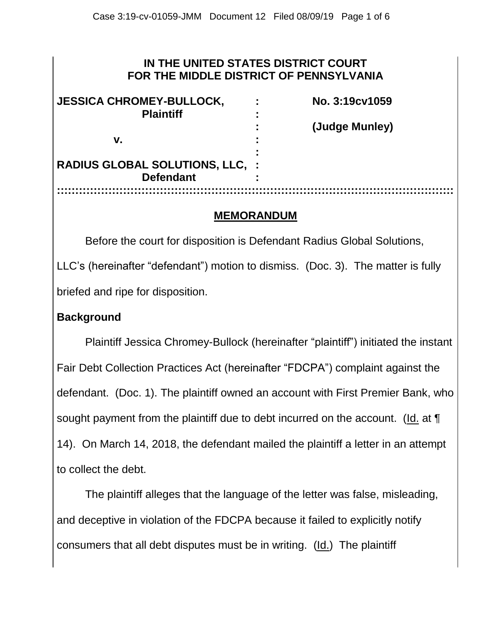### **IN THE UNITED STATES DISTRICT COURT FOR THE MIDDLE DISTRICT OF PENNSYLVANIA**

| <b>JESSICA CHROMEY-BULLOCK,</b>        | ٠ | No. 3:19 <sub>c</sub> v1059 |
|----------------------------------------|---|-----------------------------|
| <b>Plaintiff</b>                       |   |                             |
|                                        |   | (Judge Munley)              |
| v.                                     |   |                             |
|                                        |   |                             |
| <b>RADIUS GLOBAL SOLUTIONS, LLC, :</b> |   |                             |
| <b>Defendant</b>                       |   |                             |
|                                        |   |                             |

#### **MEMORANDUM**

Before the court for disposition is Defendant Radius Global Solutions, LLC's (hereinafter "defendant") motion to dismiss. (Doc. 3). The matter is fully briefed and ripe for disposition.

### **Background**

Plaintiff Jessica Chromey-Bullock (hereinafter "plaintiff") initiated the instant Fair Debt Collection Practices Act (hereinafter "FDCPA") complaint against the defendant. (Doc. 1). The plaintiff owned an account with First Premier Bank, who sought payment from the plaintiff due to debt incurred on the account. (Id. at  $\P$ 14). On March 14, 2018, the defendant mailed the plaintiff a letter in an attempt to collect the debt.

The plaintiff alleges that the language of the letter was false, misleading, and deceptive in violation of the FDCPA because it failed to explicitly notify consumers that all debt disputes must be in writing. (Id.) The plaintiff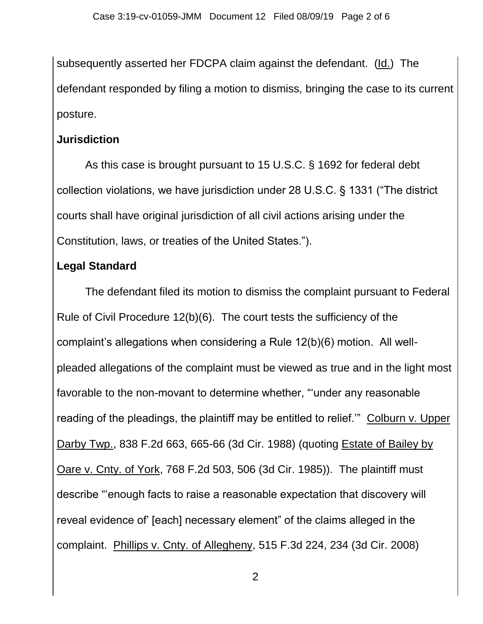subsequently asserted her FDCPA claim against the defendant. (Id.) The defendant responded by filing a motion to dismiss, bringing the case to its current posture.

# **Jurisdiction**

As this case is brought pursuant to 15 U.S.C. § 1692 for federal debt collection violations, we have jurisdiction under 28 U.S.C. § 1331 ("The district courts shall have original jurisdiction of all civil actions arising under the Constitution, laws, or treaties of the United States.").

# **Legal Standard**

The defendant filed its motion to dismiss the complaint pursuant to Federal Rule of Civil Procedure 12(b)(6). The court tests the sufficiency of the complaint's allegations when considering a Rule 12(b)(6) motion. All wellpleaded allegations of the complaint must be viewed as true and in the light most favorable to the non-movant to determine whether, "'under any reasonable reading of the pleadings, the plaintiff may be entitled to relief.'" Colburn v. Upper Darby Twp., 838 F.2d 663, 665-66 (3d Cir. 1988) (quoting Estate of Bailey by Oare v. Cnty. of York, 768 F.2d 503, 506 (3d Cir. 1985)). The plaintiff must describe "'enough facts to raise a reasonable expectation that discovery will reveal evidence of' [each] necessary element" of the claims alleged in the complaint. Phillips v. Cnty. of Allegheny, 515 F.3d 224, 234 (3d Cir. 2008)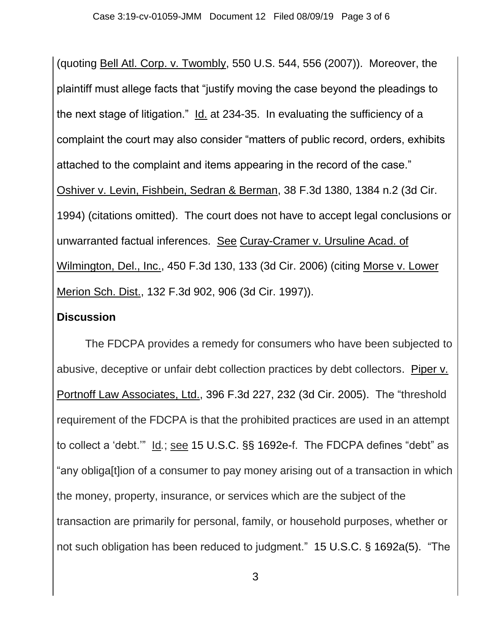(quoting Bell Atl. Corp. v. Twombly, 550 U.S. 544, 556 (2007)). Moreover, the plaintiff must allege facts that "justify moving the case beyond the pleadings to the next stage of litigation." Id. at 234-35. In evaluating the sufficiency of a complaint the court may also consider "matters of public record, orders, exhibits attached to the complaint and items appearing in the record of the case." Oshiver v. Levin, Fishbein, Sedran & Berman, 38 F.3d 1380, 1384 n.2 (3d Cir. 1994) (citations omitted). The court does not have to accept legal conclusions or unwarranted factual inferences. See Curay-Cramer v. Ursuline Acad. of Wilmington, Del., Inc., 450 F.3d 130, 133 (3d Cir. 2006) (citing Morse v. Lower Merion Sch. Dist., 132 F.3d 902, 906 (3d Cir. 1997)).

### **Discussion**

The FDCPA provides a remedy for consumers who have been subjected to abusive, deceptive or unfair debt collection practices by debt collectors. Piper v. Portnoff Law Associates, Ltd., 396 F.3d 227, 232 (3d Cir. 2005). The "threshold requirement of the FDCPA is that the prohibited practices are used in an attempt to collect a 'debt.'" Id*.*; see [15 U.S.C. §§ 1692e-](https://1.next.westlaw.com/Link/Document/FullText?findType=L&pubNum=1000546&cite=15USCAS1692E&originatingDoc=I989f08ae8bdf11ddb7e583ba170699a5&refType=LQ&originationContext=document&transitionType=DocumentItem&contextData=(sc.Search))f. The FDCPA defines "debt" as "any obliga[t]ion of a consumer to pay money arising out of a transaction in which the money, property, insurance, or services which are the subject of the transaction are primarily for personal, family, or household purposes, whether or not such obligation has been reduced to judgment." [15 U.S.C. § 1692a\(5\).](https://1.next.westlaw.com/Link/Document/FullText?findType=L&pubNum=1000546&cite=15USCAS1692A&originatingDoc=I989f08ae8bdf11ddb7e583ba170699a5&refType=RB&originationContext=document&transitionType=DocumentItem&contextData=(sc.Search)#co_pp_362c000048fd7) "The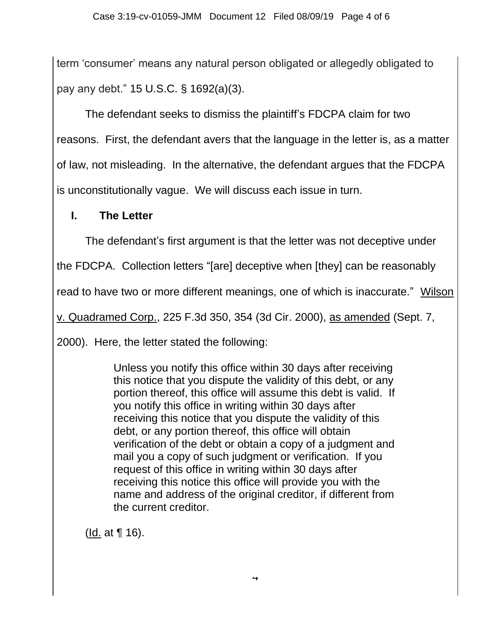term 'consumer' means any natural person obligated or allegedly obligated to pay any debt." 15 U.S.C. § [1692\(a\)\(3\).](https://1.next.westlaw.com/Link/Document/FullText?findType=L&pubNum=1000546&cite=15USCAS1692A&originatingDoc=I989f08ae8bdf11ddb7e583ba170699a5&refType=RB&originationContext=document&transitionType=DocumentItem&contextData=(sc.Search)#co_pp_d08f0000f5f67)

The defendant seeks to dismiss the plaintiff's FDCPA claim for two reasons. First, the defendant avers that the language in the letter is, as a matter of law, not misleading. In the alternative, the defendant argues that the FDCPA is unconstitutionally vague. We will discuss each issue in turn.

## **I. The Letter**

The defendant's first argument is that the letter was not deceptive under

the FDCPA. Collection letters "[are] deceptive when [they] can be reasonably

read to have two or more different meanings, one of which is inaccurate." Wilson

v. Quadramed Corp., 225 F.3d 350, 354 (3d Cir. 2000), as amended (Sept. 7,

2000). Here, the letter stated the following:

Unless you notify this office within 30 days after receiving this notice that you dispute the validity of this debt, or any portion thereof, this office will assume this debt is valid. If you notify this office in writing within 30 days after receiving this notice that you dispute the validity of this debt, or any portion thereof, this office will obtain verification of the debt or obtain a copy of a judgment and mail you a copy of such judgment or verification. If you request of this office in writing within 30 days after receiving this notice this office will provide you with the name and address of the original creditor, if different from the current creditor.

(Id. at ¶ 16).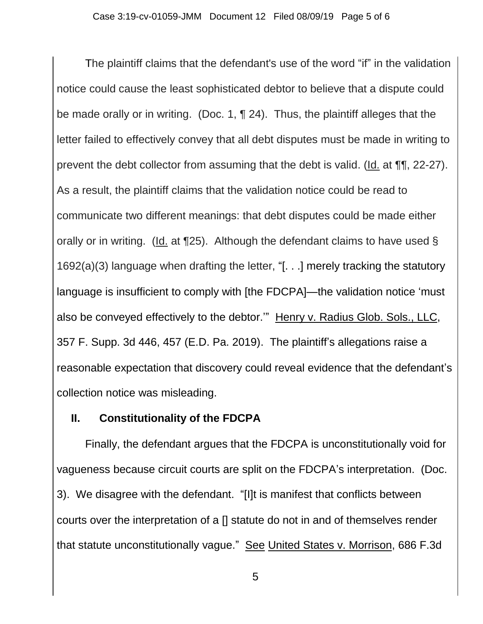The plaintiff claims that the defendant's use of the word "if" in the validation notice could cause the least sophisticated debtor to believe that a dispute could be made orally or in writing. (Doc. 1, ¶ 24). Thus, the plaintiff alleges that the letter failed to effectively convey that all debt disputes must be made in writing to prevent the debt collector from assuming that the debt is valid. (Id. at ¶¶, 22-27). As a result, the plaintiff claims that the validation notice could be read to communicate two different meanings: that debt disputes could be made either orally or in writing. (Id. at ¶25). Although the defendant claims to have used § 1692(a)(3) language when drafting the letter, "[. . .] merely tracking the statutory language is insufficient to comply with [the FDCPA]—the validation notice 'must also be conveyed effectively to the debtor." Henry v. Radius Glob. Sols., LLC, 357 F. Supp. 3d 446, 457 (E.D. Pa. 2019). The plaintiff's allegations raise a reasonable expectation that discovery could reveal evidence that the defendant's collection notice was misleading.

### **II. Constitutionality of the FDCPA**

Finally, the defendant argues that the FDCPA is unconstitutionally void for vagueness because circuit courts are split on the FDCPA's interpretation. (Doc. 3). We disagree with the defendant. "[I]t is manifest that conflicts between courts over the interpretation of a [] statute do not in and of themselves render that statute unconstitutionally vague." See United States v. Morrison, 686 F.3d